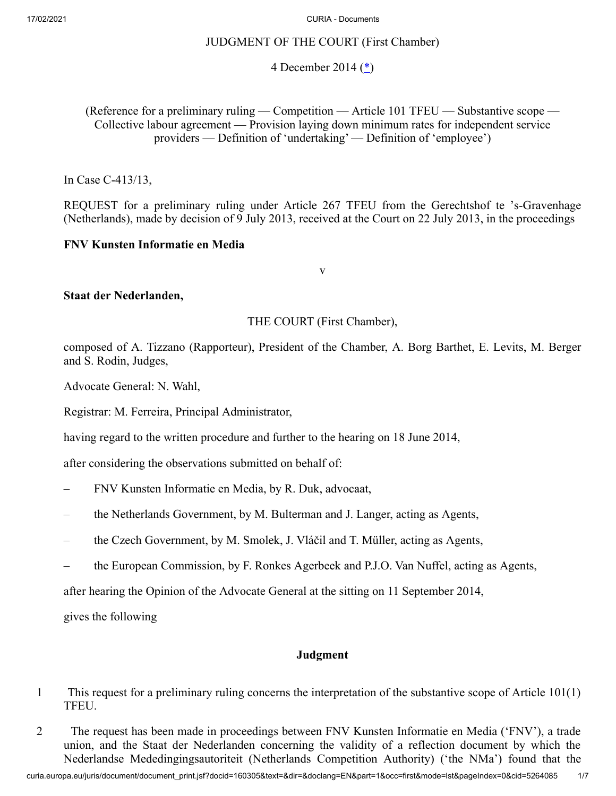# JUDGMENT OF THE COURT (First Chamber)

# <span id="page-0-0"></span>4 December 2014 ([\\*\)](#page-6-0)

(Reference for a preliminary ruling — Competition — Article 101 TFEU — Substantive scope — Collective labour agreement — Provision laying down minimum rates for independent service providers — Definition of 'undertaking' — Definition of 'employee')

In Case C‑413/13,

REQUEST for a preliminary ruling under Article 267 TFEU from the Gerechtshof te 's-Gravenhage (Netherlands), made by decision of 9 July 2013, received at the Court on 22 July 2013, in the proceedings

## **FNV Kunsten Informatie en Media**

v

## **Staat der Nederlanden,**

### THE COURT (First Chamber),

composed of A. Tizzano (Rapporteur), President of the Chamber, A. Borg Barthet, E. Levits, M. Berger and S. Rodin, Judges,

Advocate General: N. Wahl,

Registrar: M. Ferreira, Principal Administrator,

having regard to the written procedure and further to the hearing on 18 June 2014,

after considering the observations submitted on behalf of:

- FNV Kunsten Informatie en Media, by R. Duk, advocaat,
- the Netherlands Government, by M. Bulterman and J. Langer, acting as Agents,
- the Czech Government, by M. Smolek, J. Vláčil and T. Müller, acting as Agents,
- the European Commission, by F. Ronkes Agerbeek and P.J.O. Van Nuffel, acting as Agents,

after hearing the Opinion of the Advocate General at the sitting on 11 September 2014,

gives the following

## **Judgment**

- 1 This request for a preliminary ruling concerns the interpretation of the substantive scope of Article 101(1) TFEU.
- 2 The request has been made in proceedings between FNV Kunsten Informatie en Media ('FNV'), a trade union, and the Staat der Nederlanden concerning the validity of a reflection document by which the Nederlandse Mededingingsautoriteit (Netherlands Competition Authority) ('the NMa') found that the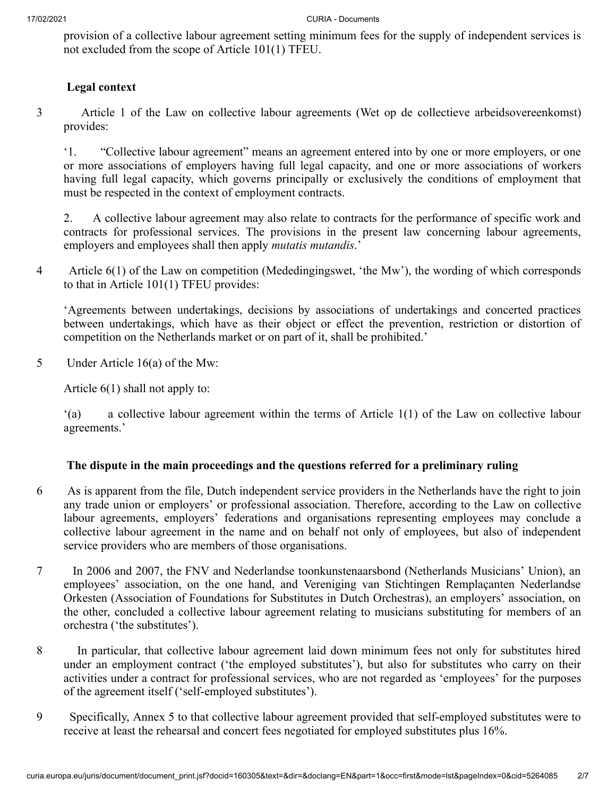provision of a collective labour agreement setting minimum fees for the supply of independent services is not excluded from the scope of Article 101(1) TFEU.

# **Legal context**

3 Article 1 of the Law on collective labour agreements (Wet op de collectieve arbeidsovereenkomst) provides:

'1. "Collective labour agreement" means an agreement entered into by one or more employers, or one or more associations of employers having full legal capacity, and one or more associations of workers having full legal capacity, which governs principally or exclusively the conditions of employment that must be respected in the context of employment contracts.

2. A collective labour agreement may also relate to contracts for the performance of specific work and contracts for professional services. The provisions in the present law concerning labour agreements, employers and employees shall then apply *mutatis mutandis*.'

4 Article 6(1) of the Law on competition (Mededingingswet, 'the Mw'), the wording of which corresponds to that in Article 101(1) TFEU provides:

'Agreements between undertakings, decisions by associations of undertakings and concerted practices between undertakings, which have as their object or effect the prevention, restriction or distortion of competition on the Netherlands market or on part of it, shall be prohibited.'

5 Under Article 16(a) of the Mw:

Article 6(1) shall not apply to:

'(a) a collective labour agreement within the terms of Article 1(1) of the Law on collective labour agreements.'

# **The dispute in the main proceedings and the questions referred for a preliminary ruling**

- 6 As is apparent from the file, Dutch independent service providers in the Netherlands have the right to join any trade union or employers' or professional association. Therefore, according to the Law on collective labour agreements, employers' federations and organisations representing employees may conclude a collective labour agreement in the name and on behalf not only of employees, but also of independent service providers who are members of those organisations.
- 7 In 2006 and 2007, the FNV and Nederlandse toonkunstenaarsbond (Netherlands Musicians' Union), an employees' association, on the one hand, and Vereniging van Stichtingen Remplaçanten Nederlandse Orkesten (Association of Foundations for Substitutes in Dutch Orchestras), an employers' association, on the other, concluded a collective labour agreement relating to musicians substituting for members of an orchestra ('the substitutes').
- 8 In particular, that collective labour agreement laid down minimum fees not only for substitutes hired under an employment contract ('the employed substitutes'), but also for substitutes who carry on their activities under a contract for professional services, who are not regarded as 'employees' for the purposes of the agreement itself ('self-employed substitutes').
- 9 Specifically, Annex 5 to that collective labour agreement provided that self-employed substitutes were to receive at least the rehearsal and concert fees negotiated for employed substitutes plus 16%.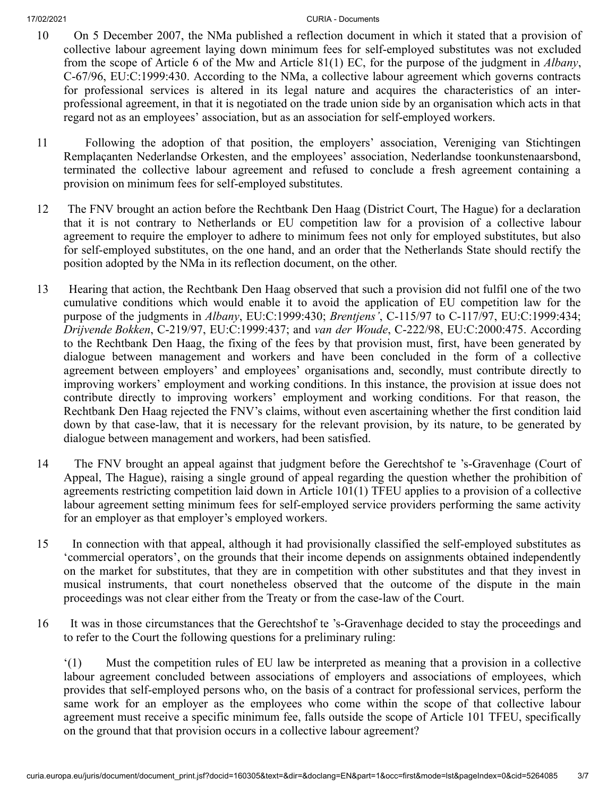- 10 On 5 December 2007, the NMa published a reflection document in which it stated that a provision of collective labour agreement laying down minimum fees for self-employed substitutes was not excluded from the scope of Article 6 of the Mw and Article 81(1) EC, for the purpose of the judgment in *Albany*, C‑67/96, EU:C:1999:430. According to the NMa, a collective labour agreement which governs contracts for professional services is altered in its legal nature and acquires the characteristics of an interprofessional agreement, in that it is negotiated on the trade union side by an organisation which acts in that regard not as an employees' association, but as an association for self-employed workers.
- 11 Following the adoption of that position, the employers' association, Vereniging van Stichtingen Remplaçanten Nederlandse Orkesten, and the employees' association, Nederlandse toonkunstenaarsbond, terminated the collective labour agreement and refused to conclude a fresh agreement containing a provision on minimum fees for self-employed substitutes.
- 12 The FNV brought an action before the Rechtbank Den Haag (District Court, The Hague) for a declaration that it is not contrary to Netherlands or EU competition law for a provision of a collective labour agreement to require the employer to adhere to minimum fees not only for employed substitutes, but also for self-employed substitutes, on the one hand, and an order that the Netherlands State should rectify the position adopted by the NMa in its reflection document, on the other.
- 13 Hearing that action, the Rechtbank Den Haag observed that such a provision did not fulfil one of the two cumulative conditions which would enable it to avoid the application of EU competition law for the purpose of the judgments in *Albany*, EU:C:1999:430; *Brentjens'*, C‑115/97 to C‑117/97, EU:C:1999:434; *Drijvende Bokken*, C‑219/97, EU:C:1999:437; and *van der Woude*, C‑222/98, EU:C:2000:475. According to the Rechtbank Den Haag, the fixing of the fees by that provision must, first, have been generated by dialogue between management and workers and have been concluded in the form of a collective agreement between employers' and employees' organisations and, secondly, must contribute directly to improving workers' employment and working conditions. In this instance, the provision at issue does not contribute directly to improving workers' employment and working conditions. For that reason, the Rechtbank Den Haag rejected the FNV's claims, without even ascertaining whether the first condition laid down by that case-law, that it is necessary for the relevant provision, by its nature, to be generated by dialogue between management and workers, had been satisfied.
- 14 The FNV brought an appeal against that judgment before the Gerechtshof te 's-Gravenhage (Court of Appeal, The Hague), raising a single ground of appeal regarding the question whether the prohibition of agreements restricting competition laid down in Article 101(1) TFEU applies to a provision of a collective labour agreement setting minimum fees for self-employed service providers performing the same activity for an employer as that employer's employed workers.
- 15 In connection with that appeal, although it had provisionally classified the self-employed substitutes as 'commercial operators', on the grounds that their income depends on assignments obtained independently on the market for substitutes, that they are in competition with other substitutes and that they invest in musical instruments, that court nonetheless observed that the outcome of the dispute in the main proceedings was not clear either from the Treaty or from the case-law of the Court.
- 16 It was in those circumstances that the Gerechtshof te 's-Gravenhage decided to stay the proceedings and to refer to the Court the following questions for a preliminary ruling:

'(1) Must the competition rules of EU law be interpreted as meaning that a provision in a collective labour agreement concluded between associations of employers and associations of employees, which provides that self-employed persons who, on the basis of a contract for professional services, perform the same work for an employer as the employees who come within the scope of that collective labour agreement must receive a specific minimum fee, falls outside the scope of Article 101 TFEU, specifically on the ground that that provision occurs in a collective labour agreement?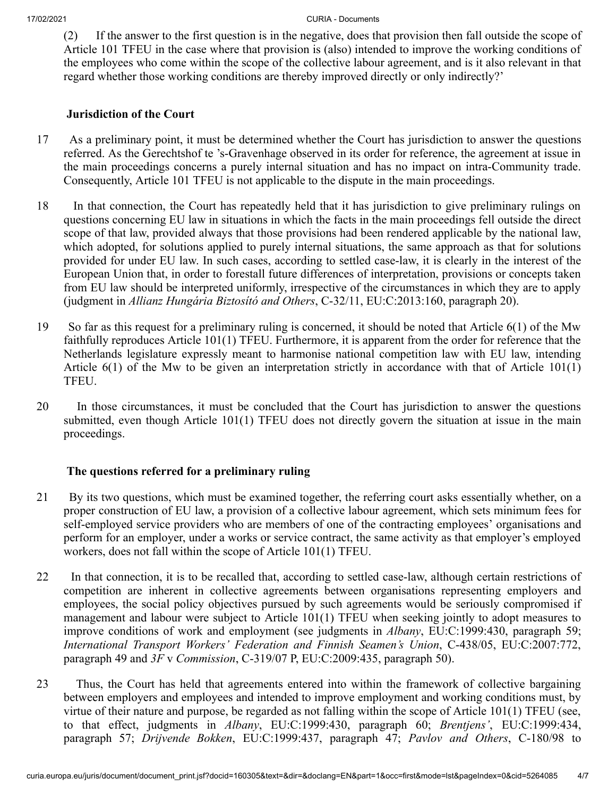(2) If the answer to the first question is in the negative, does that provision then fall outside the scope of Article 101 TFEU in the case where that provision is (also) intended to improve the working conditions of the employees who come within the scope of the collective labour agreement, and is it also relevant in that regard whether those working conditions are thereby improved directly or only indirectly?'

# **Jurisdiction of the Court**

- 17 As a preliminary point, it must be determined whether the Court has jurisdiction to answer the questions referred. As the Gerechtshof te 's-Gravenhage observed in its order for reference, the agreement at issue in the main proceedings concerns a purely internal situation and has no impact on intra-Community trade. Consequently, Article 101 TFEU is not applicable to the dispute in the main proceedings.
- 18 In that connection, the Court has repeatedly held that it has jurisdiction to give preliminary rulings on questions concerning EU law in situations in which the facts in the main proceedings fell outside the direct scope of that law, provided always that those provisions had been rendered applicable by the national law, which adopted, for solutions applied to purely internal situations, the same approach as that for solutions provided for under EU law. In such cases, according to settled case-law, it is clearly in the interest of the European Union that, in order to forestall future differences of interpretation, provisions or concepts taken from EU law should be interpreted uniformly, irrespective of the circumstances in which they are to apply (judgment in *Allianz Hungária Biztosító and Others*, C‑32/11, EU:C:2013:160, paragraph 20).
- 19 So far as this request for a preliminary ruling is concerned, it should be noted that Article 6(1) of the Mw faithfully reproduces Article 101(1) TFEU. Furthermore, it is apparent from the order for reference that the Netherlands legislature expressly meant to harmonise national competition law with EU law, intending Article 6(1) of the Mw to be given an interpretation strictly in accordance with that of Article 101(1) TFEU.
- 20 In those circumstances, it must be concluded that the Court has jurisdiction to answer the questions submitted, even though Article 101(1) TFEU does not directly govern the situation at issue in the main proceedings.

# **The questions referred for a preliminary ruling**

- 21 By its two questions, which must be examined together, the referring court asks essentially whether, on a proper construction of EU law, a provision of a collective labour agreement, which sets minimum fees for self-employed service providers who are members of one of the contracting employees' organisations and perform for an employer, under a works or service contract, the same activity as that employer's employed workers, does not fall within the scope of Article 101(1) TFEU.
- 22 In that connection, it is to be recalled that, according to settled case-law, although certain restrictions of competition are inherent in collective agreements between organisations representing employers and employees, the social policy objectives pursued by such agreements would be seriously compromised if management and labour were subject to Article 101(1) TFEU when seeking jointly to adopt measures to improve conditions of work and employment (see judgments in *Albany*, EU:C:1999:430, paragraph 59; *International Transport Workers' Federation and Finnish Seamen's Union*, C‑438/05, EU:C:2007:772, paragraph 49 and *3F* v *Commission*, C‑319/07 P, EU:C:2009:435, paragraph 50).
- 23 Thus, the Court has held that agreements entered into within the framework of collective bargaining between employers and employees and intended to improve employment and working conditions must, by virtue of their nature and purpose, be regarded as not falling within the scope of Article 101(1) TFEU (see, to that effect, judgments in *Albany*, EU:C:1999:430, paragraph 60; *Brentjens'*, EU:C:1999:434, paragraph 57; *Drijvende Bokken*, EU:C:1999:437, paragraph 47; *Pavlov and Others*, C‑180/98 to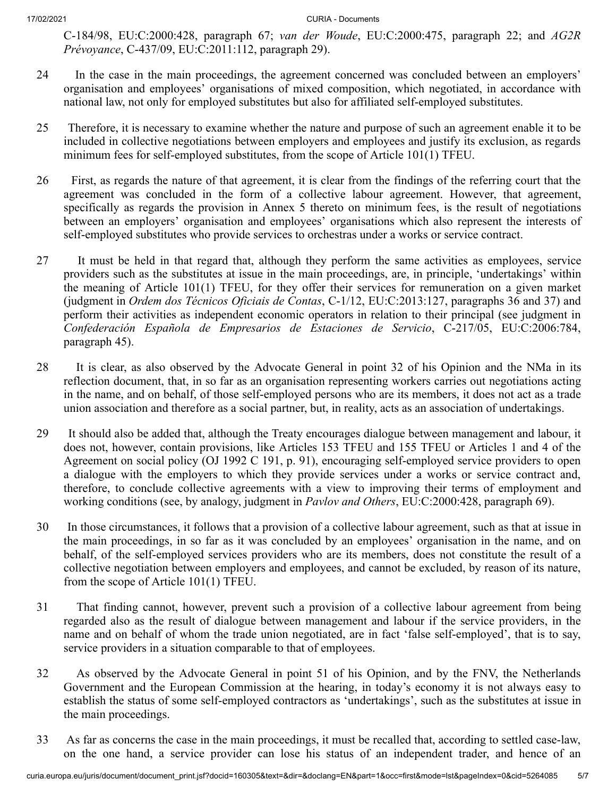C‑184/98, EU:C:2000:428, paragraph 67; *van der Woude*, EU:C:2000:475, paragraph 22; and *AG2R Prévoyance*, C‑437/09, EU:C:2011:112, paragraph 29).

- 24 In the case in the main proceedings, the agreement concerned was concluded between an employers' organisation and employees' organisations of mixed composition, which negotiated, in accordance with national law, not only for employed substitutes but also for affiliated self-employed substitutes.
- 25 Therefore, it is necessary to examine whether the nature and purpose of such an agreement enable it to be included in collective negotiations between employers and employees and justify its exclusion, as regards minimum fees for self-employed substitutes, from the scope of Article 101(1) TFEU.
- 26 First, as regards the nature of that agreement, it is clear from the findings of the referring court that the agreement was concluded in the form of a collective labour agreement. However, that agreement, specifically as regards the provision in Annex 5 thereto on minimum fees, is the result of negotiations between an employers' organisation and employees' organisations which also represent the interests of self-employed substitutes who provide services to orchestras under a works or service contract.
- 27 It must be held in that regard that, although they perform the same activities as employees, service providers such as the substitutes at issue in the main proceedings, are, in principle, 'undertakings' within the meaning of Article 101(1) TFEU, for they offer their services for remuneration on a given market (judgment in *Ordem dos Técnicos Oficiais de Contas*, C‑1/12, EU:C:2013:127, paragraphs 36 and 37) and perform their activities as independent economic operators in relation to their principal (see judgment in *Confederación Española de Empresarios de Estaciones de Servicio*, C‑217/05, EU:C:2006:784, paragraph 45).
- 28 It is clear, as also observed by the Advocate General in point 32 of his Opinion and the NMa in its reflection document, that, in so far as an organisation representing workers carries out negotiations acting in the name, and on behalf, of those self-employed persons who are its members, it does not act as a trade union association and therefore as a social partner, but, in reality, acts as an association of undertakings.
- 29 It should also be added that, although the Treaty encourages dialogue between management and labour, it does not, however, contain provisions, like Articles 153 TFEU and 155 TFEU or Articles 1 and 4 of the Agreement on social policy (OJ 1992 C 191, p. 91), encouraging self-employed service providers to open a dialogue with the employers to which they provide services under a works or service contract and, therefore, to conclude collective agreements with a view to improving their terms of employment and working conditions (see, by analogy, judgment in *Pavlov and Others*, EU:C:2000:428, paragraph 69).
- 30 In those circumstances, it follows that a provision of a collective labour agreement, such as that at issue in the main proceedings, in so far as it was concluded by an employees' organisation in the name, and on behalf, of the self-employed services providers who are its members, does not constitute the result of a collective negotiation between employers and employees, and cannot be excluded, by reason of its nature, from the scope of Article 101(1) TFEU.
- 31 That finding cannot, however, prevent such a provision of a collective labour agreement from being regarded also as the result of dialogue between management and labour if the service providers, in the name and on behalf of whom the trade union negotiated, are in fact 'false self-employed', that is to say, service providers in a situation comparable to that of employees.
- 32 As observed by the Advocate General in point 51 of his Opinion, and by the FNV, the Netherlands Government and the European Commission at the hearing, in today's economy it is not always easy to establish the status of some self-employed contractors as 'undertakings', such as the substitutes at issue in the main proceedings.
- 33 As far as concerns the case in the main proceedings, it must be recalled that, according to settled case-law, on the one hand, a service provider can lose his status of an independent trader, and hence of an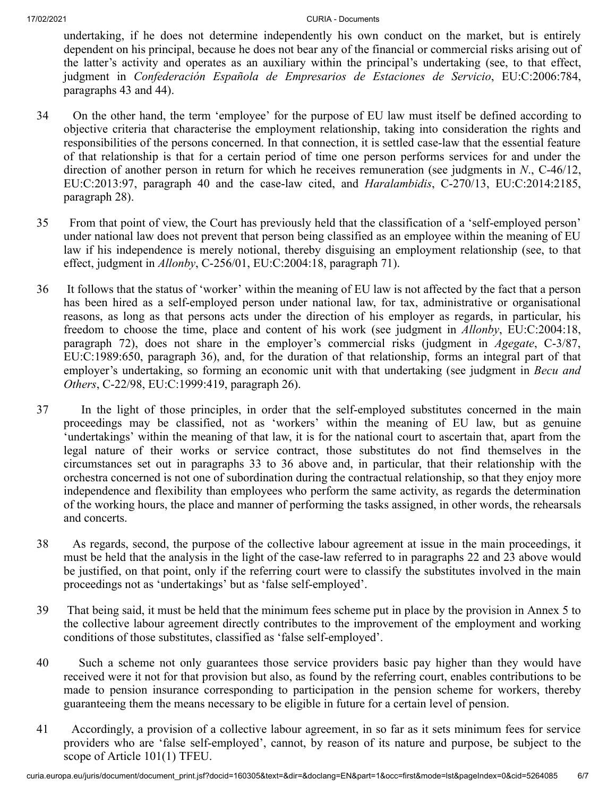undertaking, if he does not determine independently his own conduct on the market, but is entirely dependent on his principal, because he does not bear any of the financial or commercial risks arising out of the latter's activity and operates as an auxiliary within the principal's undertaking (see, to that effect, judgment in *Confederación Española de Empresarios de Estaciones de Servicio*, EU:C:2006:784, paragraphs 43 and 44).

- 34 On the other hand, the term 'employee' for the purpose of EU law must itself be defined according to objective criteria that characterise the employment relationship, taking into consideration the rights and responsibilities of the persons concerned. In that connection, it is settled case-law that the essential feature of that relationship is that for a certain period of time one person performs services for and under the direction of another person in return for which he receives remuneration (see judgments in *N*., C‑46/12, EU:C:2013:97, paragraph 40 and the case-law cited, and *Haralambidis*, C‑270/13, EU:C:2014:2185, paragraph 28).
- 35 From that point of view, the Court has previously held that the classification of a 'self-employed person' under national law does not prevent that person being classified as an employee within the meaning of EU law if his independence is merely notional, thereby disguising an employment relationship (see, to that effect, judgment in *Allonby*, C‑256/01, EU:C:2004:18, paragraph 71).
- 36 It follows that the status of 'worker' within the meaning of EU law is not affected by the fact that a person has been hired as a self-employed person under national law, for tax, administrative or organisational reasons, as long as that persons acts under the direction of his employer as regards, in particular, his freedom to choose the time, place and content of his work (see judgment in *Allonby*, EU:C:2004:18, paragraph 72), does not share in the employer's commercial risks (judgment in *Agegate*, C‑3/87, EU:C:1989:650, paragraph 36), and, for the duration of that relationship, forms an integral part of that employer's undertaking, so forming an economic unit with that undertaking (see judgment in *Becu and Others*, C‑22/98, EU:C:1999:419, paragraph 26).
- 37 In the light of those principles, in order that the self-employed substitutes concerned in the main proceedings may be classified, not as 'workers' within the meaning of EU law, but as genuine 'undertakings' within the meaning of that law, it is for the national court to ascertain that, apart from the legal nature of their works or service contract, those substitutes do not find themselves in the circumstances set out in paragraphs 33 to 36 above and, in particular, that their relationship with the orchestra concerned is not one of subordination during the contractual relationship, so that they enjoy more independence and flexibility than employees who perform the same activity, as regards the determination of the working hours, the place and manner of performing the tasks assigned, in other words, the rehearsals and concerts.
- 38 As regards, second, the purpose of the collective labour agreement at issue in the main proceedings, it must be held that the analysis in the light of the case-law referred to in paragraphs 22 and 23 above would be justified, on that point, only if the referring court were to classify the substitutes involved in the main proceedings not as 'undertakings' but as 'false self-employed'.
- 39 That being said, it must be held that the minimum fees scheme put in place by the provision in Annex 5 to the collective labour agreement directly contributes to the improvement of the employment and working conditions of those substitutes, classified as 'false self-employed'.
- 40 Such a scheme not only guarantees those service providers basic pay higher than they would have received were it not for that provision but also, as found by the referring court, enables contributions to be made to pension insurance corresponding to participation in the pension scheme for workers, thereby guaranteeing them the means necessary to be eligible in future for a certain level of pension.
- 41 Accordingly, a provision of a collective labour agreement, in so far as it sets minimum fees for service providers who are 'false self-employed', cannot, by reason of its nature and purpose, be subject to the scope of Article 101(1) TFEU.